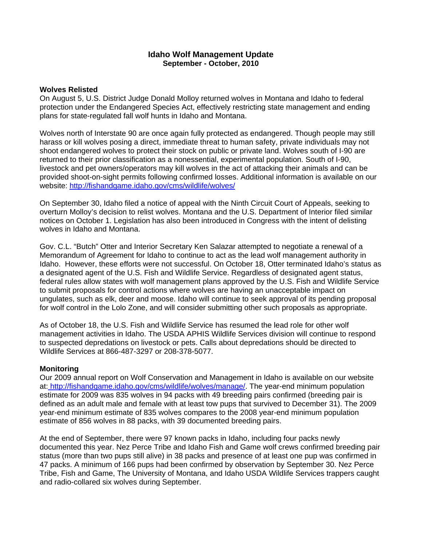# **Idaho Wolf Management Update September - October, 2010**

#### **Wolves Relisted**

On August 5, U.S. District Judge Donald Molloy returned wolves in Montana and Idaho to federal protection under the Endangered Species Act, effectively restricting state management and ending plans for state-regulated fall wolf hunts in Idaho and Montana.

Wolves north of Interstate 90 are once again fully protected as endangered. Though people may still harass or kill wolves posing a direct, immediate threat to human safety, private individuals may not shoot endangered wolves to protect their stock on public or private land. Wolves south of I-90 are returned to their prior classification as a nonessential, experimental population. South of I-90, livestock and pet owners/operators may kill wolves in the act of attacking their animals and can be provided shoot-on-sight permits following confirmed losses. Additional information is available on our website: http://fishandgame.idaho.gov/cms/wildlife/wolves/

On September 30, Idaho filed a notice of appeal with the Ninth Circuit Court of Appeals, seeking to overturn Molloy's decision to relist wolves. Montana and the U.S. Department of Interior filed similar notices on October 1. Legislation has also been introduced in Congress with the intent of delisting wolves in Idaho and Montana.

Gov. C.L. "Butch" Otter and Interior Secretary Ken Salazar attempted to negotiate a renewal of a Memorandum of Agreement for Idaho to continue to act as the lead wolf management authority in Idaho. However, these efforts were not successful. On October 18, Otter terminated Idaho's status as a designated agent of the U.S. Fish and Wildlife Service. Regardless of designated agent status, federal rules allow states with wolf management plans approved by the U.S. Fish and Wildlife Service to submit proposals for control actions where wolves are having an unacceptable impact on ungulates, such as elk, deer and moose. Idaho will continue to seek approval of its pending proposal for wolf control in the Lolo Zone, and will consider submitting other such proposals as appropriate.

As of October 18, the U.S. Fish and Wildlife Service has resumed the lead role for other wolf management activities in Idaho. The USDA APHIS Wildlife Services division will continue to respond to suspected depredations on livestock or pets. Calls about depredations should be directed to Wildlife Services at 866-487-3297 or 208-378-5077.

### **Monitoring**

Our 2009 annual report on Wolf Conservation and Management in Idaho is available on our website at: http://fishandgame.idaho.gov/cms/wildlife/wolves/manage/. The year-end minimum population estimate for 2009 was 835 wolves in 94 packs with 49 breeding pairs confirmed (breeding pair is defined as an adult male and female with at least tow pups that survived to December 31). The 2009 year-end minimum estimate of 835 wolves compares to the 2008 year-end minimum population estimate of 856 wolves in 88 packs, with 39 documented breeding pairs.

At the end of September, there were 97 known packs in Idaho, including four packs newly documented this year. Nez Perce Tribe and Idaho Fish and Game wolf crews confirmed breeding pair status (more than two pups still alive) in 38 packs and presence of at least one pup was confirmed in 47 packs. A minimum of 166 pups had been confirmed by observation by September 30. Nez Perce Tribe, Fish and Game, The University of Montana, and Idaho USDA Wildlife Services trappers caught and radio-collared six wolves during September.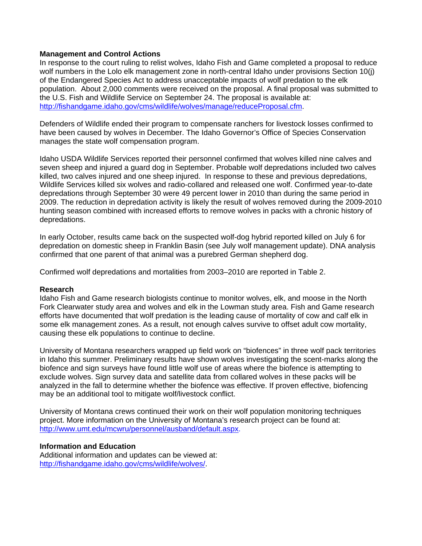## **Management and Control Actions**

In response to the court ruling to relist wolves, Idaho Fish and Game completed a proposal to reduce wolf numbers in the Lolo elk management zone in north-central Idaho under provisions Section 10(j) of the Endangered Species Act to address unacceptable impacts of wolf predation to the elk population. About 2,000 comments were received on the proposal. A final proposal was submitted to the U.S. Fish and Wildlife Service on September 24. The proposal is available at: http://fishandgame.idaho.gov/cms/wildlife/wolves/manage/reduceProposal.cfm.

Defenders of Wildlife ended their program to compensate ranchers for livestock losses confirmed to have been caused by wolves in December. The Idaho Governor's Office of Species Conservation manages the state wolf compensation program.

Idaho USDA Wildlife Services reported their personnel confirmed that wolves killed nine calves and seven sheep and injured a guard dog in September. Probable wolf depredations included two calves killed, two calves injured and one sheep injured. In response to these and previous depredations, Wildlife Services killed six wolves and radio-collared and released one wolf. Confirmed year-to-date depredations through September 30 were 49 percent lower in 2010 than during the same period in 2009. The reduction in depredation activity is likely the result of wolves removed during the 2009-2010 hunting season combined with increased efforts to remove wolves in packs with a chronic history of depredations.

In early October, results came back on the suspected wolf-dog hybrid reported killed on July 6 for depredation on domestic sheep in Franklin Basin (see July wolf management update). DNA analysis confirmed that one parent of that animal was a purebred German shepherd dog.

Confirmed wolf depredations and mortalities from 2003–2010 are reported in Table 2.

### **Research**

Idaho Fish and Game research biologists continue to monitor wolves, elk, and moose in the North Fork Clearwater study area and wolves and elk in the Lowman study area. Fish and Game research efforts have documented that wolf predation is the leading cause of mortality of cow and calf elk in some elk management zones. As a result, not enough calves survive to offset adult cow mortality, causing these elk populations to continue to decline.

University of Montana researchers wrapped up field work on "biofences" in three wolf pack territories in Idaho this summer. Preliminary results have shown wolves investigating the scent-marks along the biofence and sign surveys have found little wolf use of areas where the biofence is attempting to exclude wolves. Sign survey data and satellite data from collared wolves in these packs will be analyzed in the fall to determine whether the biofence was effective. If proven effective, biofencing may be an additional tool to mitigate wolf/livestock conflict.

University of Montana crews continued their work on their wolf population monitoring techniques project. More information on the University of Montana's research project can be found at: http://www.umt.edu/mcwru/personnel/ausband/default.aspx.

### **Information and Education**

Additional information and updates can be viewed at: http://fishandgame.idaho.gov/cms/wildlife/wolves/.